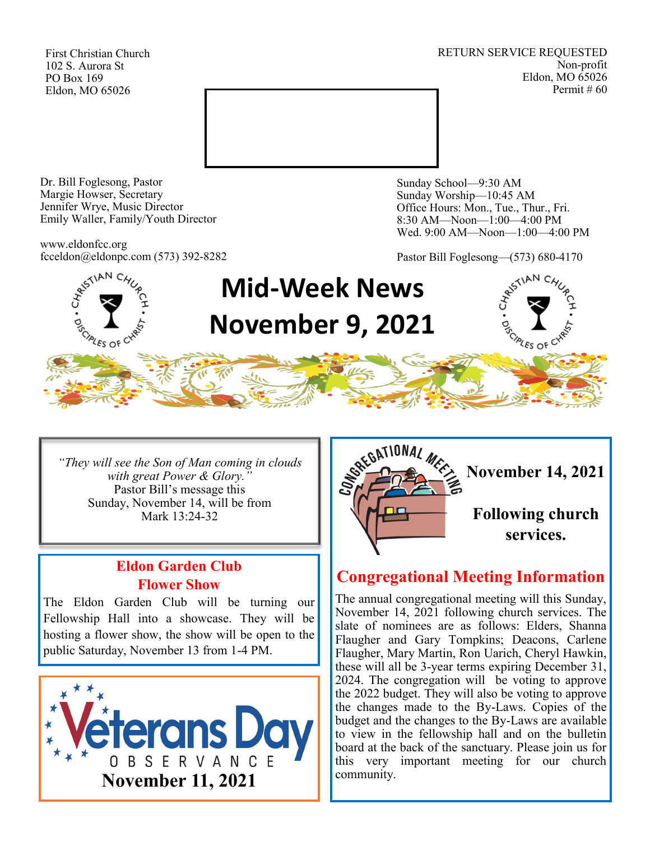First Christian Church 102 S. Aurora St PO Box 169 Eldon, MO 65026

RETURN SERVICE REQUESTED Non-profit Eldon, MO 65026 Permit # 60



Dr. Bill Foglesong, Pastor Margie Howser, Secretary Jennifer Wrye, Music Director Emily Waller, Family/Youth Director

www.eldonfcc.org fcceldon@eldonpc.com (573) 392-8282 Sunday School—9:30 AM Sunday Worship—10:45 AM Office Hours: Mon., Tue., Thur., Fri. 8:30 AM—Noon—1:00—4:00 PM Wed. 9:00 AM—Noon—1:00—4:00 PM

Pastor Bill Foglesong—(573) 680-4170



*"They will see the Son of Man coming in clouds with great Power & Glory."* Pastor Bill's message this Sunday, November 14, will be from Mark 13:24-32

## **Eldon Garden Club Flower Show**

The Eldon Garden Club will be turning our Fellowship Hall into a showcase. They will be hosting a flower show, the show will be open to the public Saturday, November 13 from 1-4 PM.





# **Congregational Meeting Information**

The annual congregational meeting will this Sunday, November 14, 2021 following church services. The slate of nominees are as follows: Elders, Shanna Flaugher and Gary Tompkins; Deacons, Carlene Flaugher, Mary Martin, Ron Uarich, Cheryl Hawkin, these will all be 3-year terms expiring December 31, 2024. The congregation will be voting to approve the 2022 budget. They will also be voting to approve the changes made to the By-Laws. Copies of the budget and the changes to the By-Laws are available to view in the fellowship hall and on the bulletin board at the back of the sanctuary. Please join us for this very important meeting for our church community.